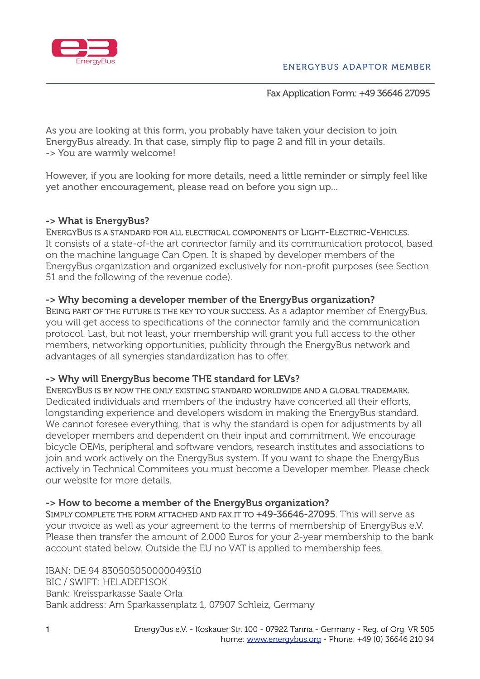

Fax Application Form: +49 36646 27095

As you are looking at this form, you probably have taken your decision to join EnergyBus already. In that case, simply flip to page 2 and fill in your details. -> You are warmly welcome!

However, if you are looking for more details, need a little reminder or simply feel like yet another encouragement, please read on before you sign up...

# -> What is EnergyBus?

ENERGYBUS IS A STANDARD FOR ALL ELECTRICAL COMPONENTS OF LIGHT-ELECTRIC-VEHICLES. It consists of a state-of-the art connector family and its communication protocol, based on the machine language Can Open. It is shaped by developer members of the EnergyBus organization and organized exclusively for non-profit purposes (see Section 51 and the following of the revenue code).

# -> Why becoming a developer member of the EnergyBus organization?

BEING PART OF THE FUTURE IS THE KEY TO YOUR SUCCESS. As a adaptor member of EnergyBus, you will get access to specifications of the connector family and the communication protocol. Last, but not least, your membership will grant you full access to the other members, networking opportunities, publicity through the EnergyBus network and advantages of all synergies standardization has to offer.

# -> Why will EnergyBus become THE standard for LEVs?

ENERGYBUS IS BY NOW THE ONLY EXISTING STANDARD WORLDWIDE AND A GLOBAL TRADEMARK. Dedicated individuals and members of the industry have concerted all their efforts, longstanding experience and developers wisdom in making the EnergyBus standard. We cannot foresee everything, that is why the standard is open for adjustments by all developer members and dependent on their input and commitment. We encourage bicycle OEMs, peripheral and software vendors, research institutes and associations to join and work actively on the EnergyBus system. If you want to shape the EnergyBus actively in Technical Commitees you must become a Developer member. Please check our website for more details.

# -> How to become a member of the EnergyBus organization?

SIMPLY COMPLETE THE FORM ATTACHED AND FAX IT TO +49-36646-27095. This will serve as your invoice as well as your agreement to the terms of membership of EnergyBus e.V. Please then transfer the amount of 2.000 Euros for your 2-year membership to the bank account stated below. Outside the EU no VAT is applied to membership fees.

IBAN: DE 94 830505050000049310 BIC / SWIFT: HELADEF1SOK Bank: Kreissparkasse Saale Orla Bank address: Am Sparkassenplatz 1, 07907 Schleiz, Germany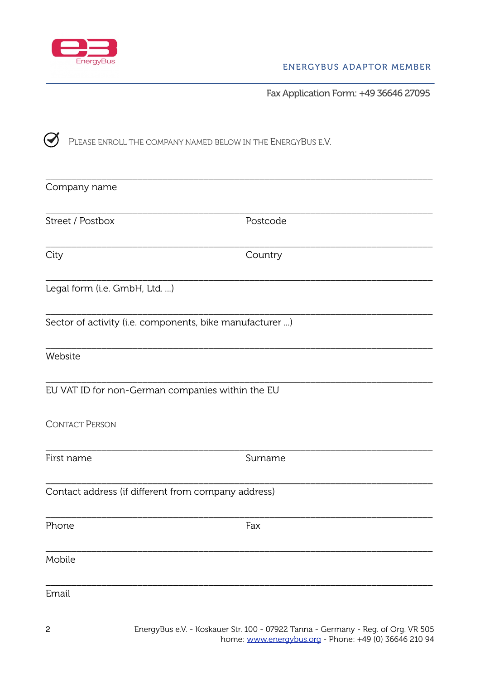

Fax Application Form: +49 36646 27095

|                                                          | PLEASE ENROLL THE COMPANY NAMED BELOW IN THE ENERGYBUS E.V. |  |
|----------------------------------------------------------|-------------------------------------------------------------|--|
| Company name                                             |                                                             |  |
| Street / Postbox                                         | Postcode                                                    |  |
| City                                                     | Country                                                     |  |
| Legal form (i.e. GmbH, Ltd. )                            |                                                             |  |
| Sector of activity (i.e. components, bike manufacturer ) |                                                             |  |
| Website                                                  |                                                             |  |
| EU VAT ID for non-German companies within the EU         |                                                             |  |
| <b>CONTACT PERSON</b>                                    |                                                             |  |
| First name                                               | Surname                                                     |  |
| Contact address (if different from company address)      |                                                             |  |
| Phone                                                    | Fax                                                         |  |
| Mobile                                                   |                                                             |  |
| Email                                                    |                                                             |  |